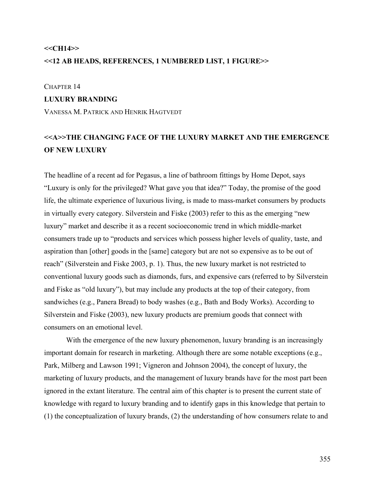# **<<CH14>> <<12 AB HEADS, REFERENCES, 1 NUMBERED LIST, 1 FIGURE>>**

CHAPTER 14

## **LUXURY BRANDING**

VANESSA M. PATRICK AND HENRIK HAGTVEDT

# **<<A>>THE CHANGING FACE OF THE LUXURY MARKET AND THE EMERGENCE OF NEW LUXURY**

The headline of a recent ad for Pegasus, a line of bathroom fittings by Home Depot, says "Luxury is only for the privileged? What gave you that idea?" Today, the promise of the good life, the ultimate experience of luxurious living, is made to mass-market consumers by products in virtually every category. Silverstein and Fiske (2003) refer to this as the emerging "new luxury" market and describe it as a recent socioeconomic trend in which middle-market consumers trade up to "products and services which possess higher levels of quality, taste, and aspiration than [other] goods in the [same] category but are not so expensive as to be out of reach" (Silverstein and Fiske 2003, p. 1). Thus, the new luxury market is not restricted to conventional luxury goods such as diamonds, furs, and expensive cars (referred to by Silverstein and Fiske as "old luxury"), but may include any products at the top of their category, from sandwiches (e.g., Panera Bread) to body washes (e.g., Bath and Body Works). According to Silverstein and Fiske (2003), new luxury products are premium goods that connect with consumers on an emotional level.

With the emergence of the new luxury phenomenon, luxury branding is an increasingly important domain for research in marketing. Although there are some notable exceptions (e.g., Park, Milberg and Lawson 1991; Vigneron and Johnson 2004), the concept of luxury, the marketing of luxury products, and the management of luxury brands have for the most part been ignored in the extant literature. The central aim of this chapter is to present the current state of knowledge with regard to luxury branding and to identify gaps in this knowledge that pertain to (1) the conceptualization of luxury brands, (2) the understanding of how consumers relate to and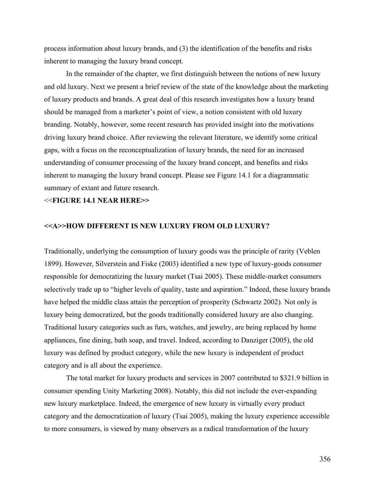process information about luxury brands, and (3) the identification of the benefits and risks inherent to managing the luxury brand concept.

In the remainder of the chapter, we first distinguish between the notions of new luxury and old luxury. Next we present a brief review of the state of the knowledge about the marketing of luxury products and brands. A great deal of this research investigates how a luxury brand should be managed from a marketer's point of view, a notion consistent with old luxury branding. Notably, however, some recent research has provided insight into the motivations driving luxury brand choice. After reviewing the relevant literature, we identify some critical gaps, with a focus on the reconceptualization of luxury brands, the need for an increased understanding of consumer processing of the luxury brand concept, and benefits and risks inherent to managing the luxury brand concept. Please see Figure 14.1 for a diagrammatic summary of extant and future research.

<<**FIGURE 14.1 NEAR HERE>>**

## **<<A>>HOW DIFFERENT IS NEW LUXURY FROM OLD LUXURY?**

Traditionally, underlying the consumption of luxury goods was the principle of rarity (Veblen 1899). However, Silverstein and Fiske (2003) identified a new type of luxury-goods consumer responsible for democratizing the luxury market (Tsai 2005). These middle-market consumers selectively trade up to "higher levels of quality, taste and aspiration." Indeed, these luxury brands have helped the middle class attain the perception of prosperity (Schwartz 2002). Not only is luxury being democratized, but the goods traditionally considered luxury are also changing. Traditional luxury categories such as furs, watches, and jewelry, are being replaced by home appliances, fine dining, bath soap, and travel. Indeed, according to Danziger (2005), the old luxury was defined by product category, while the new luxury is independent of product category and is all about the experience.

The total market for luxury products and services in 2007 contributed to \$321.9 billion in consumer spending Unity Marketing 2008). Notably, this did not include the ever-expanding new luxury marketplace. Indeed, the emergence of new luxury in virtually every product category and the democratization of luxury (Tsai 2005), making the luxury experience accessible to more consumers, is viewed by many observers as a radical transformation of the luxury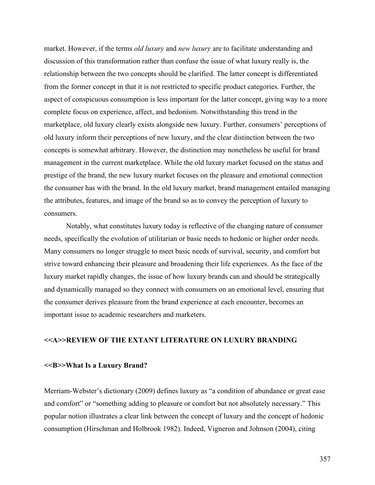market. However, if the terms *old luxury* and *new luxury* are to facilitate understanding and discussion of this transformation rather than confuse the issue of what luxury really is, the relationship between the two concepts should be clarified. The latter concept is differentiated from the former concept in that it is not restricted to specific product categories. Further, the aspect of conspicuous consumption is less important for the latter concept, giving way to a more complete focus on experience, affect, and hedonism. Notwithstanding this trend in the marketplace, old luxury clearly exists alongside new luxury. Further, consumers' perceptions of old luxury inform their perceptions of new luxury, and the clear distinction between the two concepts is somewhat arbitrary. However, the distinction may nonetheless be useful for brand management in the current marketplace. While the old luxury market focused on the status and prestige of the brand, the new luxury market focuses on the pleasure and emotional connection the consumer has with the brand. In the old luxury market, brand management entailed managing the attributes, features, and image of the brand so as to convey the perception of luxury to consumers.

Notably, what constitutes luxury today is reflective of the changing nature of consumer needs, specifically the evolution of utilitarian or basic needs to hedonic or higher order needs. Many consumers no longer struggle to meet basic needs of survival, security, and comfort but strive toward enhancing their pleasure and broadening their life experiences. As the face of the luxury market rapidly changes, the issue of how luxury brands can and should be strategically and dynamically managed so they connect with consumers on an emotional level, ensuring that the consumer derives pleasure from the brand experience at each encounter, becomes an important issue to academic researchers and marketers.

## **<<A>>REVIEW OF THE EXTANT LITERATURE ON LUXURY BRANDING**

### **<<B>>What Is a Luxury Brand?**

Merriam-Webster's dictionary (2009) defines luxury as "a condition of abundance or great ease and comfort" or "something adding to pleasure or comfort but not absolutely necessary." This popular notion illustrates a clear link between the concept of luxury and the concept of hedonic consumption (Hirschman and Holbrook 1982). Indeed, Vigneron and Johnson (2004), citing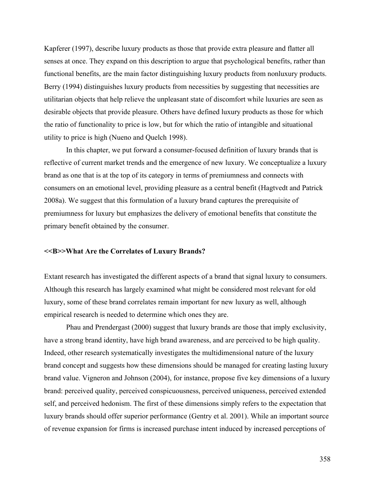Kapferer (1997), describe luxury products as those that provide extra pleasure and flatter all senses at once. They expand on this description to argue that psychological benefits, rather than functional benefits, are the main factor distinguishing luxury products from nonluxury products. Berry (1994) distinguishes luxury products from necessities by suggesting that necessities are utilitarian objects that help relieve the unpleasant state of discomfort while luxuries are seen as desirable objects that provide pleasure. Others have defined luxury products as those for which the ratio of functionality to price is low, but for which the ratio of intangible and situational utility to price is high (Nueno and Quelch 1998).

In this chapter, we put forward a consumer-focused definition of luxury brands that is reflective of current market trends and the emergence of new luxury. We conceptualize a luxury brand as one that is at the top of its category in terms of premiumness and connects with consumers on an emotional level, providing pleasure as a central benefit (Hagtvedt and Patrick 2008a). We suggest that this formulation of a luxury brand captures the prerequisite of premiumness for luxury but emphasizes the delivery of emotional benefits that constitute the primary benefit obtained by the consumer.

### **<<B>>What Are the Correlates of Luxury Brands?**

Extant research has investigated the different aspects of a brand that signal luxury to consumers. Although this research has largely examined what might be considered most relevant for old luxury, some of these brand correlates remain important for new luxury as well, although empirical research is needed to determine which ones they are.

Phau and Prendergast (2000) suggest that luxury brands are those that imply exclusivity, have a strong brand identity, have high brand awareness, and are perceived to be high quality. Indeed, other research systematically investigates the multidimensional nature of the luxury brand concept and suggests how these dimensions should be managed for creating lasting luxury brand value. Vigneron and Johnson (2004), for instance, propose five key dimensions of a luxury brand: perceived quality, perceived conspicuousness, perceived uniqueness, perceived extended self, and perceived hedonism. The first of these dimensions simply refers to the expectation that luxury brands should offer superior performance (Gentry et al. 2001). While an important source of revenue expansion for firms is increased purchase intent induced by increased perceptions of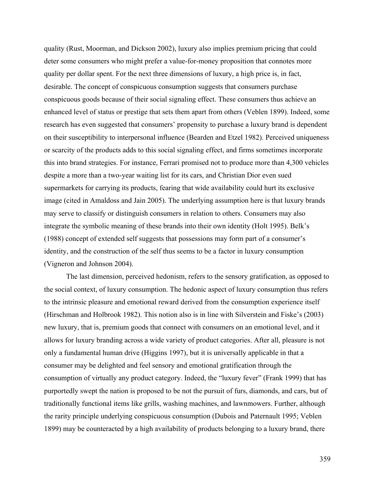quality (Rust, Moorman, and Dickson 2002), luxury also implies premium pricing that could deter some consumers who might prefer a value-for-money proposition that connotes more quality per dollar spent. For the next three dimensions of luxury, a high price is, in fact, desirable. The concept of conspicuous consumption suggests that consumers purchase conspicuous goods because of their social signaling effect. These consumers thus achieve an enhanced level of status or prestige that sets them apart from others (Veblen 1899). Indeed, some research has even suggested that consumers' propensity to purchase a luxury brand is dependent on their susceptibility to interpersonal influence (Bearden and Etzel 1982). Perceived uniqueness or scarcity of the products adds to this social signaling effect, and firms sometimes incorporate this into brand strategies. For instance, Ferrari promised not to produce more than 4,300 vehicles despite a more than a two-year waiting list for its cars, and Christian Dior even sued supermarkets for carrying its products, fearing that wide availability could hurt its exclusive image (cited in Amaldoss and Jain 2005). The underlying assumption here is that luxury brands may serve to classify or distinguish consumers in relation to others. Consumers may also integrate the symbolic meaning of these brands into their own identity (Holt 1995). Belk's (1988) concept of extended self suggests that possessions may form part of a consumer's identity, and the construction of the self thus seems to be a factor in luxury consumption (Vigneron and Johnson 2004).

The last dimension, perceived hedonism, refers to the sensory gratification, as opposed to the social context, of luxury consumption. The hedonic aspect of luxury consumption thus refers to the intrinsic pleasure and emotional reward derived from the consumption experience itself (Hirschman and Holbrook 1982). This notion also is in line with Silverstein and Fiske's (2003) new luxury, that is, premium goods that connect with consumers on an emotional level, and it allows for luxury branding across a wide variety of product categories. After all, pleasure is not only a fundamental human drive (Higgins 1997), but it is universally applicable in that a consumer may be delighted and feel sensory and emotional gratification through the consumption of virtually any product category. Indeed, the "luxury fever" (Frank 1999) that has purportedly swept the nation is proposed to be not the pursuit of furs, diamonds, and cars, but of traditionally functional items like grills, washing machines, and lawnmowers. Further, although the rarity principle underlying conspicuous consumption (Dubois and Paternault 1995; Veblen 1899) may be counteracted by a high availability of products belonging to a luxury brand, there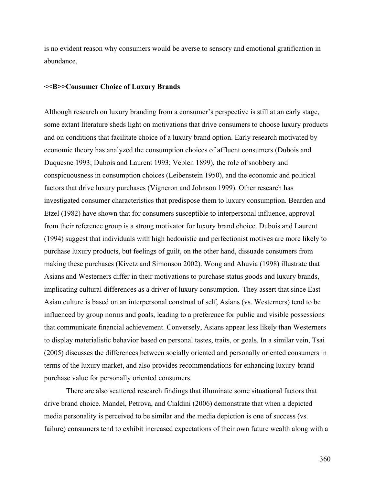is no evident reason why consumers would be averse to sensory and emotional gratification in abundance.

#### **<<B>>Consumer Choice of Luxury Brands**

Although research on luxury branding from a consumer's perspective is still at an early stage, some extant literature sheds light on motivations that drive consumers to choose luxury products and on conditions that facilitate choice of a luxury brand option. Early research motivated by economic theory has analyzed the consumption choices of affluent consumers (Dubois and Duquesne 1993; Dubois and Laurent 1993; Veblen 1899), the role of snobbery and conspicuousness in consumption choices (Leibenstein 1950), and the economic and political factors that drive luxury purchases (Vigneron and Johnson 1999). Other research has investigated consumer characteristics that predispose them to luxury consumption. Bearden and Etzel (1982) have shown that for consumers susceptible to interpersonal influence, approval from their reference group is a strong motivator for luxury brand choice. Dubois and Laurent (1994) suggest that individuals with high hedonistic and perfectionist motives are more likely to purchase luxury products, but feelings of guilt, on the other hand, dissuade consumers from making these purchases (Kivetz and Simonson 2002). Wong and Ahuvia (1998) illustrate that Asians and Westerners differ in their motivations to purchase status goods and luxury brands, implicating cultural differences as a driver of luxury consumption. They assert that since East Asian culture is based on an interpersonal construal of self, Asians (vs. Westerners) tend to be influenced by group norms and goals, leading to a preference for public and visible possessions that communicate financial achievement. Conversely, Asians appear less likely than Westerners to display materialistic behavior based on personal tastes, traits, or goals. In a similar vein, Tsai (2005) discusses the differences between socially oriented and personally oriented consumers in terms of the luxury market, and also provides recommendations for enhancing luxury-brand purchase value for personally oriented consumers.

There are also scattered research findings that illuminate some situational factors that drive brand choice. Mandel, Petrova, and Cialdini (2006) demonstrate that when a depicted media personality is perceived to be similar and the media depiction is one of success (vs. failure) consumers tend to exhibit increased expectations of their own future wealth along with a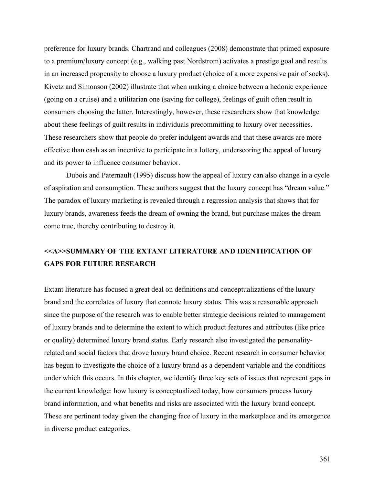preference for luxury brands. Chartrand and colleagues (2008) demonstrate that primed exposure to a premium/luxury concept (e.g., walking past Nordstrom) activates a prestige goal and results in an increased propensity to choose a luxury product (choice of a more expensive pair of socks). Kivetz and Simonson (2002) illustrate that when making a choice between a hedonic experience (going on a cruise) and a utilitarian one (saving for college), feelings of guilt often result in consumers choosing the latter. Interestingly, however, these researchers show that knowledge about these feelings of guilt results in individuals precommitting to luxury over necessities. These researchers show that people do prefer indulgent awards and that these awards are more effective than cash as an incentive to participate in a lottery, underscoring the appeal of luxury and its power to influence consumer behavior.

Dubois and Paternault (1995) discuss how the appeal of luxury can also change in a cycle of aspiration and consumption. These authors suggest that the luxury concept has "dream value." The paradox of luxury marketing is revealed through a regression analysis that shows that for luxury brands, awareness feeds the dream of owning the brand, but purchase makes the dream come true, thereby contributing to destroy it.

## **<<A>>SUMMARY OF THE EXTANT LITERATURE AND IDENTIFICATION OF GAPS FOR FUTURE RESEARCH**

Extant literature has focused a great deal on definitions and conceptualizations of the luxury brand and the correlates of luxury that connote luxury status. This was a reasonable approach since the purpose of the research was to enable better strategic decisions related to management of luxury brands and to determine the extent to which product features and attributes (like price or quality) determined luxury brand status. Early research also investigated the personalityrelated and social factors that drove luxury brand choice. Recent research in consumer behavior has begun to investigate the choice of a luxury brand as a dependent variable and the conditions under which this occurs. In this chapter, we identify three key sets of issues that represent gaps in the current knowledge: how luxury is conceptualized today, how consumers process luxury brand information, and what benefits and risks are associated with the luxury brand concept. These are pertinent today given the changing face of luxury in the marketplace and its emergence in diverse product categories.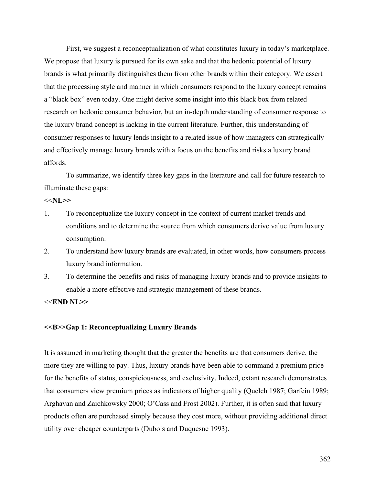First, we suggest a reconceptualization of what constitutes luxury in today's marketplace. We propose that luxury is pursued for its own sake and that the hedonic potential of luxury brands is what primarily distinguishes them from other brands within their category. We assert that the processing style and manner in which consumers respond to the luxury concept remains a "black box" even today. One might derive some insight into this black box from related research on hedonic consumer behavior, but an in-depth understanding of consumer response to the luxury brand concept is lacking in the current literature. Further, this understanding of consumer responses to luxury lends insight to a related issue of how managers can strategically and effectively manage luxury brands with a focus on the benefits and risks a luxury brand affords.

To summarize, we identify three key gaps in the literature and call for future research to illuminate these gaps:

## <<**NL>>**

- 1. To reconceptualize the luxury concept in the context of current market trends and conditions and to determine the source from which consumers derive value from luxury consumption.
- 2. To understand how luxury brands are evaluated, in other words, how consumers process luxury brand information.
- 3. To determine the benefits and risks of managing luxury brands and to provide insights to enable a more effective and strategic management of these brands.

<<**END NL>>**

## **<<B>>Gap 1: Reconceptualizing Luxury Brands**

It is assumed in marketing thought that the greater the benefits are that consumers derive, the more they are willing to pay. Thus, luxury brands have been able to command a premium price for the benefits of status, conspiciousness, and exclusivity. Indeed, extant research demonstrates that consumers view premium prices as indicators of higher quality (Quelch 1987; Garfein 1989; Arghavan and Zaichkowsky 2000; O'Cass and Frost 2002). Further, it is often said that luxury products often are purchased simply because they cost more, without providing additional direct utility over cheaper counterparts (Dubois and Duquesne 1993).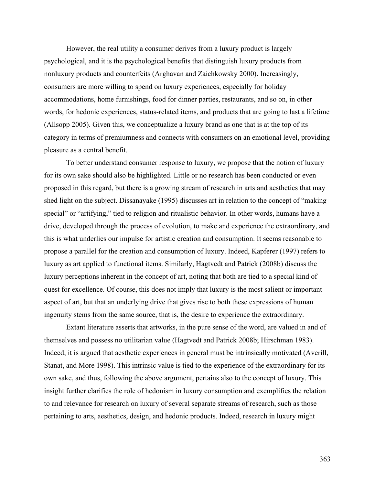However, the real utility a consumer derives from a luxury product is largely psychological, and it is the psychological benefits that distinguish luxury products from nonluxury products and counterfeits (Arghavan and Zaichkowsky 2000). Increasingly, consumers are more willing to spend on luxury experiences, especially for holiday accommodations, home furnishings, food for dinner parties, restaurants, and so on, in other words, for hedonic experiences, status-related items, and products that are going to last a lifetime (Allsopp 2005). Given this, we conceptualize a luxury brand as one that is at the top of its category in terms of premiumness and connects with consumers on an emotional level, providing pleasure as a central benefit.

To better understand consumer response to luxury, we propose that the notion of luxury for its own sake should also be highlighted. Little or no research has been conducted or even proposed in this regard, but there is a growing stream of research in arts and aesthetics that may shed light on the subject. Dissanayake (1995) discusses art in relation to the concept of "making special" or "artifying," tied to religion and ritualistic behavior. In other words, humans have a drive, developed through the process of evolution, to make and experience the extraordinary, and this is what underlies our impulse for artistic creation and consumption. It seems reasonable to propose a parallel for the creation and consumption of luxury. Indeed, Kapferer (1997) refers to luxury as art applied to functional items. Similarly, Hagtvedt and Patrick (2008b) discuss the luxury perceptions inherent in the concept of art, noting that both are tied to a special kind of quest for excellence. Of course, this does not imply that luxury is the most salient or important aspect of art, but that an underlying drive that gives rise to both these expressions of human ingenuity stems from the same source, that is, the desire to experience the extraordinary.

Extant literature asserts that artworks, in the pure sense of the word, are valued in and of themselves and possess no utilitarian value (Hagtvedt and Patrick 2008b; Hirschman 1983). Indeed, it is argued that aesthetic experiences in general must be intrinsically motivated (Averill, Stanat, and More 1998). This intrinsic value is tied to the experience of the extraordinary for its own sake, and thus, following the above argument, pertains also to the concept of luxury. This insight further clarifies the role of hedonism in luxury consumption and exemplifies the relation to and relevance for research on luxury of several separate streams of research, such as those pertaining to arts, aesthetics, design, and hedonic products. Indeed, research in luxury might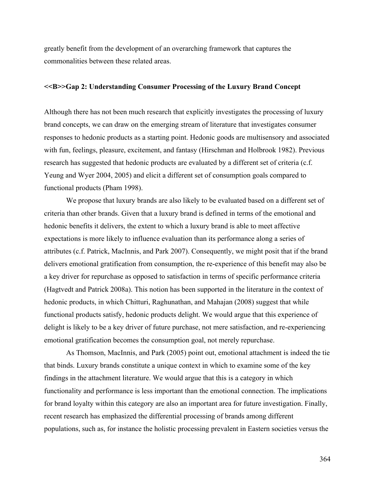greatly benefit from the development of an overarching framework that captures the commonalities between these related areas.

### **<<B>>Gap 2: Understanding Consumer Processing of the Luxury Brand Concept**

Although there has not been much research that explicitly investigates the processing of luxury brand concepts, we can draw on the emerging stream of literature that investigates consumer responses to hedonic products as a starting point. Hedonic goods are multisensory and associated with fun, feelings, pleasure, excitement, and fantasy (Hirschman and Holbrook 1982). Previous research has suggested that hedonic products are evaluated by a different set of criteria (c.f. Yeung and Wyer 2004, 2005) and elicit a different set of consumption goals compared to functional products (Pham 1998).

We propose that luxury brands are also likely to be evaluated based on a different set of criteria than other brands. Given that a luxury brand is defined in terms of the emotional and hedonic benefits it delivers, the extent to which a luxury brand is able to meet affective expectations is more likely to influence evaluation than its performance along a series of attributes (c.f. Patrick, MacInnis, and Park 2007). Consequently, we might posit that if the brand delivers emotional gratification from consumption, the re-experience of this benefit may also be a key driver for repurchase as opposed to satisfaction in terms of specific performance criteria (Hagtvedt and Patrick 2008a). This notion has been supported in the literature in the context of hedonic products, in which Chitturi, Raghunathan, and Mahajan (2008) suggest that while functional products satisfy, hedonic products delight. We would argue that this experience of delight is likely to be a key driver of future purchase, not mere satisfaction, and re-experiencing emotional gratification becomes the consumption goal, not merely repurchase.

As Thomson, MacInnis, and Park (2005) point out, emotional attachment is indeed the tie that binds. Luxury brands constitute a unique context in which to examine some of the key findings in the attachment literature. We would argue that this is a category in which functionality and performance is less important than the emotional connection. The implications for brand loyalty within this category are also an important area for future investigation. Finally, recent research has emphasized the differential processing of brands among different populations, such as, for instance the holistic processing prevalent in Eastern societies versus the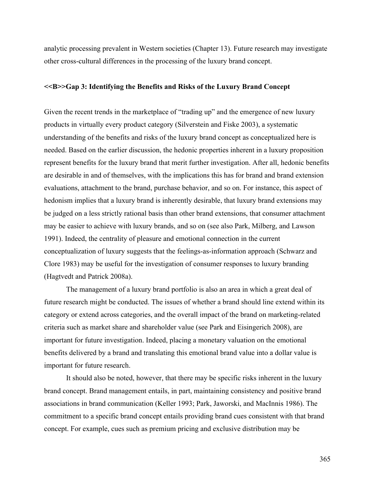analytic processing prevalent in Western societies (Chapter 13). Future research may investigate other cross-cultural differences in the processing of the luxury brand concept.

### **<<B>>Gap 3: Identifying the Benefits and Risks of the Luxury Brand Concept**

Given the recent trends in the marketplace of "trading up" and the emergence of new luxury products in virtually every product category (Silverstein and Fiske 2003), a systematic understanding of the benefits and risks of the luxury brand concept as conceptualized here is needed. Based on the earlier discussion, the hedonic properties inherent in a luxury proposition represent benefits for the luxury brand that merit further investigation. After all, hedonic benefits are desirable in and of themselves, with the implications this has for brand and brand extension evaluations, attachment to the brand, purchase behavior, and so on. For instance, this aspect of hedonism implies that a luxury brand is inherently desirable, that luxury brand extensions may be judged on a less strictly rational basis than other brand extensions, that consumer attachment may be easier to achieve with luxury brands, and so on (see also Park, Milberg, and Lawson 1991). Indeed, the centrality of pleasure and emotional connection in the current conceptualization of luxury suggests that the feelings-as-information approach (Schwarz and Clore 1983) may be useful for the investigation of consumer responses to luxury branding (Hagtvedt and Patrick 2008a).

The management of a luxury brand portfolio is also an area in which a great deal of future research might be conducted. The issues of whether a brand should line extend within its category or extend across categories, and the overall impact of the brand on marketing-related criteria such as market share and shareholder value (see Park and Eisingerich 2008), are important for future investigation. Indeed, placing a monetary valuation on the emotional benefits delivered by a brand and translating this emotional brand value into a dollar value is important for future research.

It should also be noted, however, that there may be specific risks inherent in the luxury brand concept. Brand management entails, in part, maintaining consistency and positive brand associations in brand communication (Keller 1993; Park, Jaworski, and MacInnis 1986). The commitment to a specific brand concept entails providing brand cues consistent with that brand concept. For example, cues such as premium pricing and exclusive distribution may be

365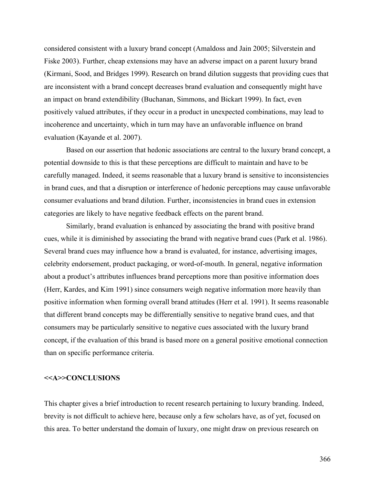considered consistent with a luxury brand concept (Amaldoss and Jain 2005; Silverstein and Fiske 2003). Further, cheap extensions may have an adverse impact on a parent luxury brand (Kirmani, Sood, and Bridges 1999). Research on brand dilution suggests that providing cues that are inconsistent with a brand concept decreases brand evaluation and consequently might have an impact on brand extendibility (Buchanan, Simmons, and Bickart 1999). In fact, even positively valued attributes, if they occur in a product in unexpected combinations, may lead to incoherence and uncertainty, which in turn may have an unfavorable influence on brand evaluation (Kayande et al. 2007).

Based on our assertion that hedonic associations are central to the luxury brand concept, a potential downside to this is that these perceptions are difficult to maintain and have to be carefully managed. Indeed, it seems reasonable that a luxury brand is sensitive to inconsistencies in brand cues, and that a disruption or interference of hedonic perceptions may cause unfavorable consumer evaluations and brand dilution. Further, inconsistencies in brand cues in extension categories are likely to have negative feedback effects on the parent brand.

Similarly, brand evaluation is enhanced by associating the brand with positive brand cues, while it is diminished by associating the brand with negative brand cues (Park et al. 1986). Several brand cues may influence how a brand is evaluated, for instance, advertising images, celebrity endorsement, product packaging, or word-of-mouth. In general, negative information about a product's attributes influences brand perceptions more than positive information does (Herr, Kardes, and Kim 1991) since consumers weigh negative information more heavily than positive information when forming overall brand attitudes (Herr et al. 1991). It seems reasonable that different brand concepts may be differentially sensitive to negative brand cues, and that consumers may be particularly sensitive to negative cues associated with the luxury brand concept, if the evaluation of this brand is based more on a general positive emotional connection than on specific performance criteria.

## **<<A>>CONCLUSIONS**

This chapter gives a brief introduction to recent research pertaining to luxury branding. Indeed, brevity is not difficult to achieve here, because only a few scholars have, as of yet, focused on this area. To better understand the domain of luxury, one might draw on previous research on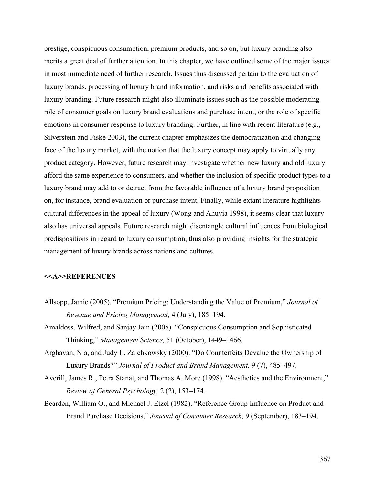prestige, conspicuous consumption, premium products, and so on, but luxury branding also merits a great deal of further attention. In this chapter, we have outlined some of the major issues in most immediate need of further research. Issues thus discussed pertain to the evaluation of luxury brands, processing of luxury brand information, and risks and benefits associated with luxury branding. Future research might also illuminate issues such as the possible moderating role of consumer goals on luxury brand evaluations and purchase intent, or the role of specific emotions in consumer response to luxury branding. Further, in line with recent literature (e.g., Silverstein and Fiske 2003), the current chapter emphasizes the democratization and changing face of the luxury market, with the notion that the luxury concept may apply to virtually any product category. However, future research may investigate whether new luxury and old luxury afford the same experience to consumers, and whether the inclusion of specific product types to a luxury brand may add to or detract from the favorable influence of a luxury brand proposition on, for instance, brand evaluation or purchase intent. Finally, while extant literature highlights cultural differences in the appeal of luxury (Wong and Ahuvia 1998), it seems clear that luxury also has universal appeals. Future research might disentangle cultural influences from biological predispositions in regard to luxury consumption, thus also providing insights for the strategic management of luxury brands across nations and cultures.

### **<<A>>REFERENCES**

- Allsopp, Jamie (2005). "Premium Pricing: Understanding the Value of Premium," *Journal of Revenue and Pricing Management,* 4 (July), 185–194.
- Amaldoss, Wilfred, and Sanjay Jain (2005). "Conspicuous Consumption and Sophisticated Thinking," *Management Science,* 51 (October), 1449–1466.
- Arghavan, Nia, and Judy L. Zaichkowsky (2000). "Do Counterfeits Devalue the Ownership of Luxury Brands?" *Journal of Product and Brand Management,* 9 (7), 485–497.
- Averill, James R., Petra Stanat, and Thomas A. More (1998). "Aesthetics and the Environment," *Review of General Psychology,* 2 (2), 153–174.
- Bearden, William O., and Michael J. Etzel (1982). "Reference Group Influence on Product and Brand Purchase Decisions," *Journal of Consumer Research,* 9 (September), 183–194.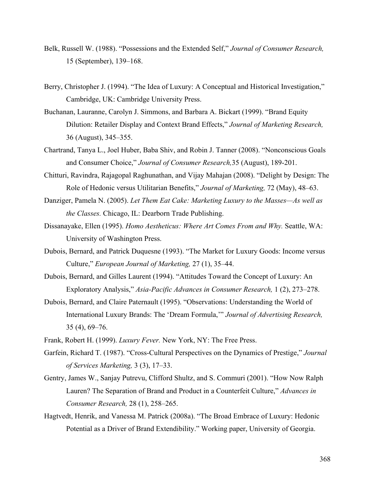- Belk, Russell W. (1988). "Possessions and the Extended Self," *Journal of Consumer Research,* 15 (September), 139–168.
- Berry, Christopher J. (1994). "The Idea of Luxury: A Conceptual and Historical Investigation," Cambridge, UK: Cambridge University Press.
- Buchanan, Lauranne, Carolyn J. Simmons, and Barbara A. Bickart (1999). "Brand Equity Dilution: Retailer Display and Context Brand Effects," *Journal of Marketing Research,* 36 (August), 345–355.
- Chartrand, Tanya L., Joel Huber, Baba Shiv, and Robin J. Tanner (2008). "Nonconscious Goals and Consumer Choice," *Journal of Consumer Research,*35 (August), 189-201.
- Chitturi, Ravindra, Rajagopal Raghunathan, and Vijay Mahajan (2008). "Delight by Design: The Role of Hedonic versus Utilitarian Benefits," *Journal of Marketing,* 72 (May), 48–63.
- Danziger, Pamela N. (2005). *Let Them Eat Cake: Marketing Luxury to the Masses—As well as the Classes.* Chicago, IL: Dearborn Trade Publishing.
- Dissanayake, Ellen (1995). *Homo Aestheticus: Where Art Comes From and Why.* Seattle, WA: University of Washington Press.
- Dubois, Bernard, and Patrick Duquesne (1993). "The Market for Luxury Goods: Income versus Culture," *European Journal of Marketing,* 27 (1), 35–44.
- Dubois, Bernard, and Gilles Laurent (1994). "Attitudes Toward the Concept of Luxury: An Exploratory Analysis," *Asia-Pacific Advances in Consumer Research,* 1 (2), 273–278.
- Dubois, Bernard, and Claire Paternault (1995). "Observations: Understanding the World of International Luxury Brands: The 'Dream Formula,'" *Journal of Advertising Research,* 35 (4), 69–76.
- Frank, Robert H. (1999). *Luxury Fever.* New York, NY: The Free Press.
- Garfein, Richard T. (1987). "Cross-Cultural Perspectives on the Dynamics of Prestige," *Journal of Services Marketing,* 3 (3), 17–33.
- Gentry, James W., Sanjay Putrevu, Clifford Shultz, and S. Commuri (2001). "How Now Ralph Lauren? The Separation of Brand and Product in a Counterfeit Culture," *Advances in Consumer Research,* 28 (1), 258–265.
- Hagtvedt, Henrik, and Vanessa M. Patrick (2008a). "The Broad Embrace of Luxury: Hedonic Potential as a Driver of Brand Extendibility." Working paper, University of Georgia.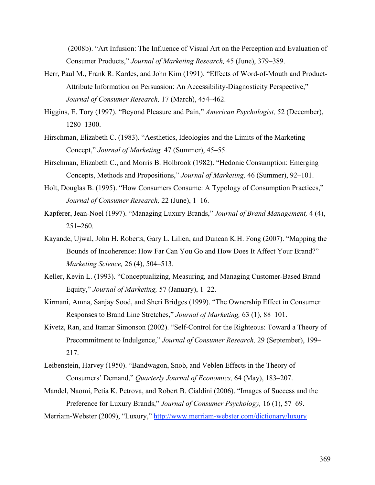– (2008b). "Art Infusion: The Influence of Visual Art on the Perception and Evaluation of Consumer Products," *Journal of Marketing Research,* 45 (June), 379–389.

- Herr, Paul M., Frank R. Kardes, and John Kim (1991). "Effects of Word-of-Mouth and Product-Attribute Information on Persuasion: An Accessibility-Diagnosticity Perspective," *Journal of Consumer Research,* 17 (March), 454–462.
- Higgins, E. Tory (1997). "Beyond Pleasure and Pain," *American Psychologist,* 52 (December), 1280–1300.
- Hirschman, Elizabeth C. (1983). "Aesthetics, Ideologies and the Limits of the Marketing Concept," *Journal of Marketing,* 47 (Summer), 45–55.
- Hirschman, Elizabeth C., and Morris B. Holbrook (1982). "Hedonic Consumption: Emerging Concepts, Methods and Propositions," *Journal of Marketing,* 46 (Summer), 92–101.
- Holt, Douglas B. (1995). "How Consumers Consume: A Typology of Consumption Practices," *Journal of Consumer Research,* 22 (June), 1–16.
- Kapferer, Jean-Noel (1997). "Managing Luxury Brands," *Journal of Brand Management,* 4 (4), 251–260.
- Kayande, Ujwal, John H. Roberts, Gary L. Lilien, and Duncan K.H. Fong (2007). "Mapping the Bounds of Incoherence: How Far Can You Go and How Does It Affect Your Brand?" *Marketing Science,* 26 (4), 504–513.
- Keller, Kevin L. (1993). "Conceptualizing, Measuring, and Managing Customer-Based Brand Equity," *Journal of Marketing,* 57 (January), 1–22.
- Kirmani, Amna, Sanjay Sood, and Sheri Bridges (1999). "The Ownership Effect in Consumer Responses to Brand Line Stretches," *Journal of Marketing,* 63 (1), 88–101.
- Kivetz, Ran, and Itamar Simonson (2002). "Self-Control for the Righteous: Toward a Theory of Precommitment to Indulgence," *Journal of Consumer Research,* 29 (September), 199– 217.
- Leibenstein, Harvey (1950). "Bandwagon, Snob, and Veblen Effects in the Theory of Consumers' Demand," *Quarterly Journal of Economics,* 64 (May), 183–207.
- Mandel, Naomi, Petia K. Petrova, and Robert B. Cialdini (2006). "Images of Success and the Preference for Luxury Brands," *Journal of Consumer Psychology,* 16 (1), 57–69.
- Merriam-Webster (2009), "Luxury," http://www.merriam-webster.com/dictionary/luxury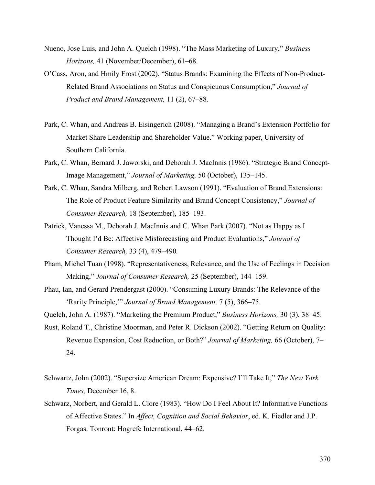- Nueno, Jose Luis, and John A. Quelch (1998). "The Mass Marketing of Luxury," *Business Horizons,* 41 (November/December), 61–68.
- O'Cass, Aron, and Hmily Frost (2002). "Status Brands: Examining the Effects of Non-Product-Related Brand Associations on Status and Conspicuous Consumption," *Journal of Product and Brand Management,* 11 (2), 67–88.
- Park, C. Whan, and Andreas B. Eisingerich (2008). "Managing a Brand's Extension Portfolio for Market Share Leadership and Shareholder Value." Working paper, University of Southern California.
- Park, C. Whan, Bernard J. Jaworski, and Deborah J. MacInnis (1986). "Strategic Brand Concept-Image Management," *Journal of Marketing,* 50 (October), 135–145.
- Park, C. Whan, Sandra Milberg, and Robert Lawson (1991). "Evaluation of Brand Extensions: The Role of Product Feature Similarity and Brand Concept Consistency," *Journal of Consumer Research,* 18 (September), 185–193.
- Patrick, Vanessa M., Deborah J. MacInnis and C. Whan Park (2007). "Not as Happy as I Thought I'd Be: Affective Misforecasting and Product Evaluations," *Journal of Consumer Research,* 33 (4), 479–490*.*
- Pham, Michel Tuan (1998). "Representativeness, Relevance, and the Use of Feelings in Decision Making," *Journal of Consumer Research,* 25 (September), 144–159.
- Phau, Ian, and Gerard Prendergast (2000). "Consuming Luxury Brands: The Relevance of the 'Rarity Principle,'" *Journal of Brand Management,* 7 (5), 366–75.
- Quelch, John A. (1987). "Marketing the Premium Product," *Business Horizons,* 30 (3), 38–45.
- Rust, Roland T., Christine Moorman, and Peter R. Dickson (2002). "Getting Return on Quality: Revenue Expansion, Cost Reduction, or Both?" *Journal of Marketing,* 66 (October), 7– 24.
- Schwartz, John (2002). "Supersize American Dream: Expensive? I'll Take It," *The New York Times,* December 16, 8.
- Schwarz, Norbert, and Gerald L. Clore (1983). "How Do I Feel About It? Informative Functions of Affective States." In *Affect, Cognition and Social Behavior*, ed. K. Fiedler and J.P. Forgas. Tonront: Hogrefe International, 44–62.